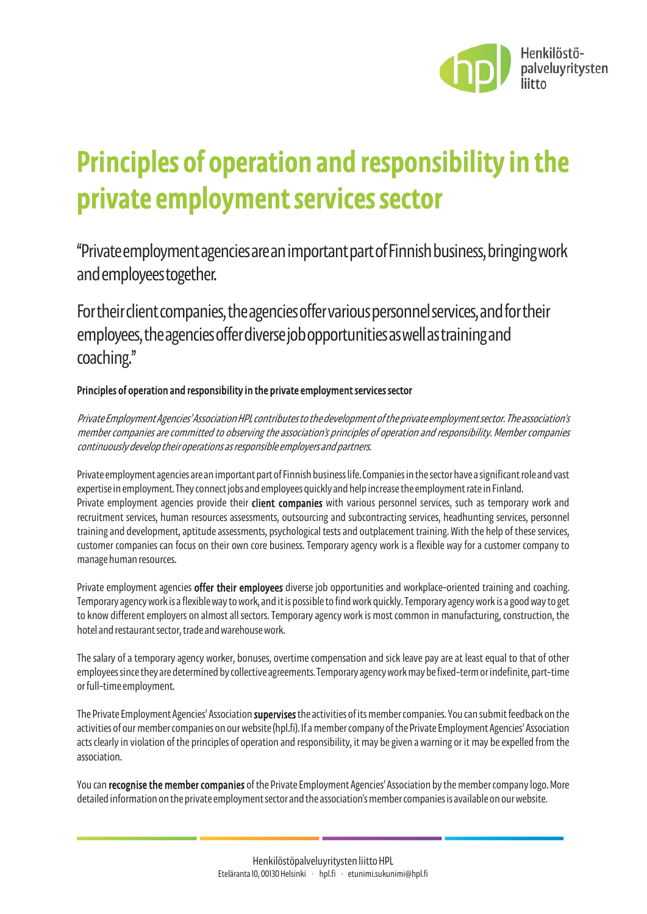

# Principles of operation and responsibility in the private employment services sector

"Private employmentagenciesare an important part of Finnish business, bringing work and employeestogether.

For their client companies, the agenciesoffer various personnel services, andfor their employees, the agencies offer diverse job opportunities aswell as training and coaching."

#### Principles of operation and responsibility in the private employment services sector

Private Employment Agencies' Association HPL contributes to the development ofthe private employment sector. The association's member companies are committed to observing the association's principles of operation and responsibility. Member companies continuously develop their operations as responsible employers and partners.

Private employment agenciesare an important part of Finnish business life. Companies in the sector have a significant role and vast expertise in employment. They connect jobs and employees quickly and help increase the employment rate in Finland. Private employment agencies provide their client companies with various personnel services, such as temporary work and recruitment services, human resources assessments, outsourcing and subcontracting services, headhunting services, personnel training and development, aptitude assessments, psychological tests and outplacement training. With the help of these services, customer companies can focus on their own core business. Temporary agency work is a flexible way for a customer company to manage human resources.

Private employment agencies **offer their employees** diverse job opportunities and workplace-oriented training and coaching. Temporary agency work is a flexible way to work, and it is possible to find work quickly. Temporary agency work is a good way to get to know different employers on almost all sectors. Temporary agency work is most common in manufacturing, construction, the hotel and restaurant sector, trade and warehouse work.

The salary of a temporary agency worker, bonuses, overtime compensation and sick leave pay are at least equal to that of other employees since they are determined by collective agreements. Temporary agency work may be fixed-term or indefinite, part-time or full-time employment.

The Private Employment Agencies' Association supervises the activities of its member companies. You can submit feedback on the activities of our member companies on our website (hpl.fi). If a member company of the Private Employment Agencies' Association acts clearly in violation of the principles of operation and responsibility, it may be given a warning or it may be expelled from the association.

You can recognise the member companies of the Private Employment Agencies' Association by the member company logo. More detailed information on the private employment sector and the association's member companies is available on our website.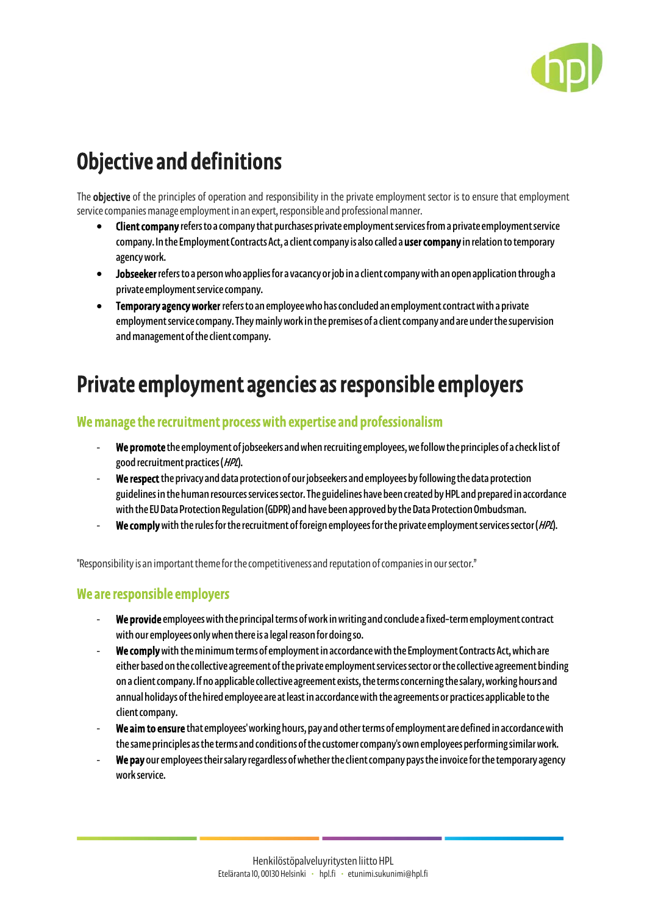

## Objective and definitions

The **objective** of the principles of operation and responsibility in the private employment sector is to ensure that employment service companies manage employment in an expert, responsible and professional manner.

- Client companyrefers to a company that purchases private employment services from a private employment service company. In the Employment Contracts Act, a client company is also called a user company in relation to temporary agency work.
- Jobseekerrefers to a person who applies for a vacancy or job in a client company with an open application through a private employment service company.
- Temporary agency worker refers to an employee who has concluded an employment contract with a private employment service company. They mainly work in the premises of a client company and are under the supervision and management of the client company.

### Private employment agencies as responsible employers

#### We manage the recruitment process with expertise and professionalism

- We promote the employment of jobseekers and when recruiting employees, we follow the principles of a check list of good recruitment practices (HPL).
- We respect the privacy and data protection of our jobseekers and employees by following the data protection guidelines in the human resources services sector. The guidelines have beencreated by HPL and prepared in accordance with the EU Data Protection Regulation (GDPR) and have been approved by the Data Protection Ombudsman.
- We comply with the rules for the recruitment of foreign employees for the private employment services sector (HPL).

"Responsibility is an important theme for the competitiveness and reputation of companies in our sector."

#### We are responsible employers

- We provide employees with the principal terms of work in writing and conclude a fixed-term employment contract with our employees only when there is a legal reason for doing so.
- We comply with the minimum terms of employment in accordance with the Employment Contracts Act, which are either based on the collective agreement of the private employment servicessector or the collective agreement binding on a client company. If no applicable collective agreement exists, the terms concerning the salary, working hours and annual holidays of the hired employee are at least in accordance with the agreements or practices applicable to the client company.
- We aim to ensure that employees' working hours, pay and other terms of employment are defined in accordance with the same principles as the terms and conditions of the customer company's own employees performing similar work.
- We pay our employees their salary regardless of whether the client company pays the invoice for the temporary agency work service.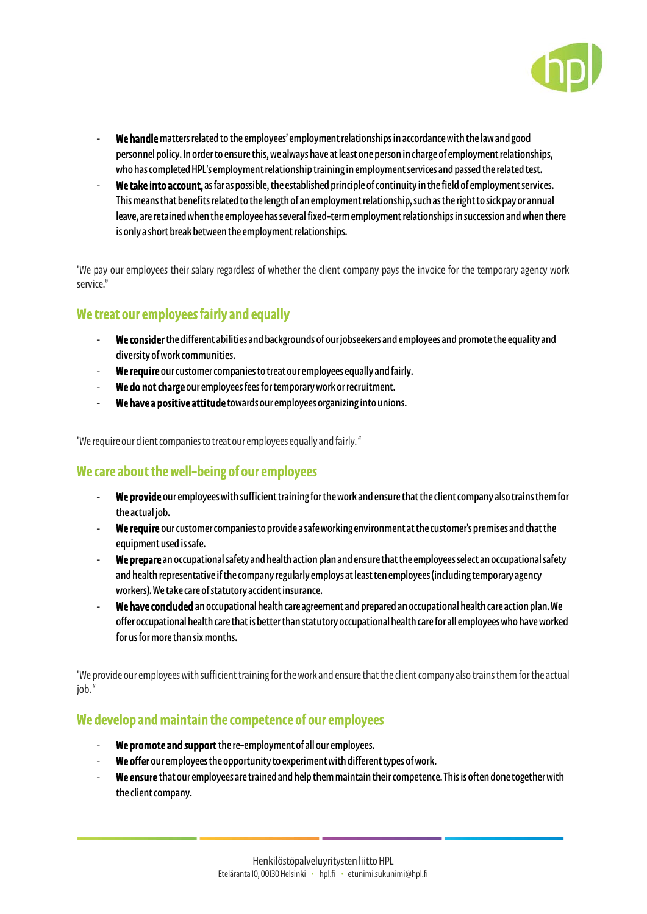

- We handle matters related to the employees' employment relationships in accordance with the law and good personnel policy. In order to ensure this, we always have at least one person in charge of employment relationships, who has completed HPL's employment relationship training in employment services and passed the related test.
- We take into account, as far as possible, the established principle of continuity in the field of employment services. This means that benefits related to the length of an employment relationship, such as the right to sick pay or annual leave, are retained when the employee has several fixed-term employment relationships in succession and when there is only a short break between the employment relationships.

"We pay our employees their salary regardless of whether the client company pays the invoice for the temporary agency work service."

#### We treat our employees fairly and equally

- We consider the different abilities and backgrounds of our jobseekers and employees and promote the equality and diversity of work communities.
- We require our customer companies to treat our employees equally and fairly.
- We do not charge our employees fees for temporary work or recruitment.
- We have a positive attitude towards our employees organizing into unions.

"We require our client companies to treat our employees equally and fairly. "

#### We care about the well-being of our employees

- We provide our employees with sufficient training for the work and ensure that the client company also trains them for the actual job.
- We require our customer companies to provide a safe working environment at the customer's premises and that the equipment used is safe.
- We prepare an occupational safety and health action plan and ensure that the employees select an occupational safety and health representative if the company regularly employs at least ten employees (including temporary agency workers). We take care of statutory accident insurance.
- We have concluded an occupational health care agreement and prepared an occupational health care action plan. We offer occupational health care that is better than statutory occupational health care for all employees who have worked for us for more than six months.

"We provide our employees with sufficient training for the work and ensure that the client company also trains them for the actual iob."

#### We develop and maintain the competence of our employees

- We promote and support the re-employment of all our employees.
- We offer our employees the opportunity to experiment with different types of work.
- We ensure that our employees are trained and help them maintain their competence. This is often done together with the client company.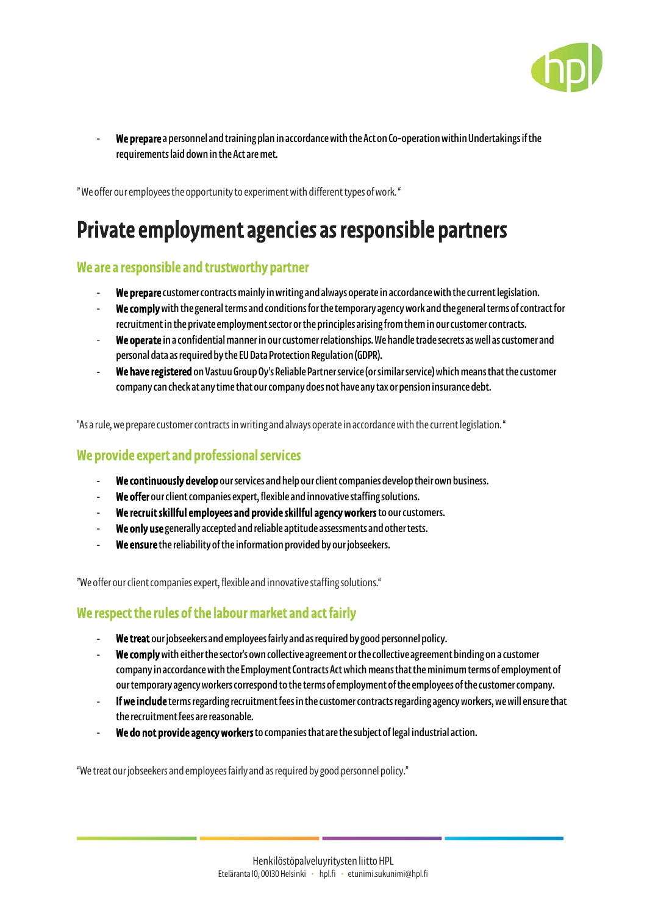

We prepare a personnel and training plan in accordance with the Act on Co-operation within Undertakings if the requirements laid down in the Act are met.

" We offer our employees the opportunity to experiment with different types of work. "

## Private employment agencies as responsible partners

#### We are a responsible and trustworthy partner

- We prepare customer contracts mainly in writing and always operate in accordance with the current legislation.
- We comply with the general terms and conditions for the temporary agency work and the general terms of contract for recruitment in the private employment sector or the principles arising from them in our customer contracts.
- We operate in a confidential manner in our customer relationships. We handle trade secrets as well as customer and personal data as required by the EU Data Protection Regulation (GDPR).
- We have registered on Vastuu Group Oy's Reliable Partner service (or similar service) which means that the customer company can check at any time that our company does not have any tax or pension insurance debt.

"As a rule, we prepare customer contracts in writing and always operatein accordance with the current legislation. "

#### We provide expert and professional services

- We continuously develop our services and help our client companies develop their own business.
- We offer our client companies expert, flexible and innovative staffing solutions.
- We recruit skillful employees and provide skillful agency workers to our customers.
- We only use generally accepted and reliable aptitude assessments and other tests.
- We ensure the reliability of the information provided by our jobseekers.

"We offer our client companies expert, flexible and innovative staffing solutions."

#### We respect the rules of the labour market and act fairly

- We treat our jobseekers and employees fairly and as required by good personnel policy.
- We complywith either the sector's own collective agreement or the collective agreement binding on a customer company in accordance with the Employment Contracts Act which means that the minimum terms of employment of our temporary agency workers correspond to the terms of employment of the employees of the customer company.
- If we include terms regarding recruitment fees in the customer contracts regarding agency workers, we will ensure that the recruitment fees are reasonable.
- We do not provide agency workers to companies that are the subject of legal industrial action.

"We treat our jobseekers and employeesfairly and as required by good personnel policy."